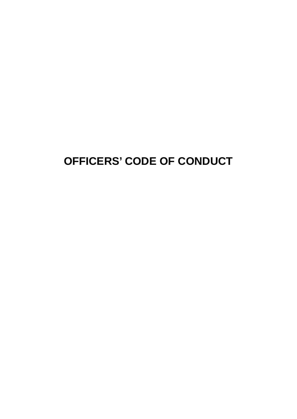# **OFFICERS' CODE OF CONDUCT**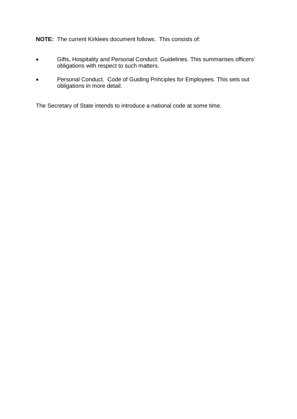**NOTE:** The current Kirklees document follows. This consists of:

- Gifts, Hospitality and Personal Conduct: Guidelines. This summarises officers' obligations with respect to such matters.
- Personal Conduct. Code of Guiding Principles for Employees. This sets out obligations in more detail.

The Secretary of State intends to introduce a national code at some time.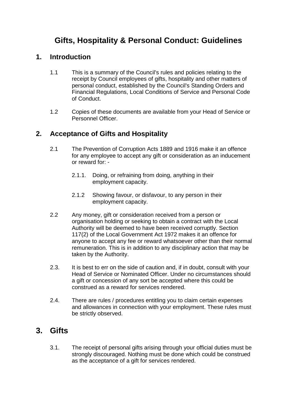# **Gifts, Hospitality & Personal Conduct: Guidelines**

#### **1. Introduction**

- 1.1 This is a summary of the Council's rules and policies relating to the receipt by Council employees of gifts, hospitality and other matters of personal conduct, established by the Council's Standing Orders and Financial Regulations, Local Conditions of Service and Personal Code of Conduct.
- 1.2 Copies of these documents are available from your Head of Service or Personnel Officer.

#### **2. Acceptance of Gifts and Hospitality**

- 2.1 The Prevention of Corruption Acts 1889 and 1916 make it an offence for any employee to accept any gift or consideration as an inducement or reward for: -
	- 2.1.1. Doing, or refraining from doing, anything in their employment capacity.
	- 2.1.2 Showing favour, or disfavour, to any person in their employment capacity.
- 2.2 Any money, gift or consideration received from a person or organisation holding or seeking to obtain a contract with the Local Authority will be deemed to have been received corruptly. Section 117(2) of the Local Government Act 1972 makes it an offence for anyone to accept any fee or reward whatsoever other than their normal remuneration. This is in addition to any disciplinary action that may be taken by the Authority.
- 2.3. It is best to err on the side of caution and, if in doubt, consult with your Head of Service or Nominated Officer. Under no circumstances should a gift or concession of any sort be accepted where this could be construed as a reward for services rendered.
- 2.4. There are rules / procedures entitling you to claim certain expenses and allowances in connection with your employment. These rules must be strictly observed.

## **3. Gifts**

3.1. The receipt of personal gifts arising through your official duties must be strongly discouraged. Nothing must be done which could be construed as the acceptance of a gift for services rendered.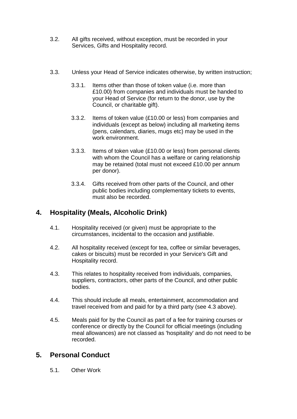- 3.2. All gifts received, without exception, must be recorded in your Services, Gifts and Hospitality record.
- 3.3. Unless your Head of Service indicates otherwise, by written instruction;
	- 3.3.1. Items other than those of token value (i.e. more than £10.00) from companies and individuals must be handed to your Head of Service (for return to the donor, use by the Council, or charitable gift).
	- 3.3.2. Items of token value (£10.00 or less) from companies and individuals (except as below) including all marketing items (pens, calendars, diaries, mugs etc) may be used in the work environment.
	- 3.3.3. Items of token value (£10.00 or less) from personal clients with whom the Council has a welfare or caring relationship may be retained (total must not exceed £10.00 per annum per donor).
	- 3.3.4. Gifts received from other parts of the Council, and other public bodies including complementary tickets to events, must also be recorded.

## **4. Hospitality (Meals, Alcoholic Drink)**

- 4.1. Hospitality received (or given) must be appropriate to the circumstances, incidental to the occasion and justifiable.
- 4.2. All hospitality received (except for tea, coffee or similar beverages, cakes or biscuits) must be recorded in your Service's Gift and Hospitality record.
- 4.3. This relates to hospitality received from individuals, companies, suppliers, contractors, other parts of the Council, and other public bodies.
- 4.4. This should include all meals, entertainment, accommodation and travel received from and paid for by a third party (see 4.3 above).
- 4.5. Meals paid for by the Council as part of a fee for training courses or conference or directly by the Council for official meetings (including meal allowances) are not classed as 'hospitality' and do not need to be recorded.

#### **5. Personal Conduct**

5.1. Other Work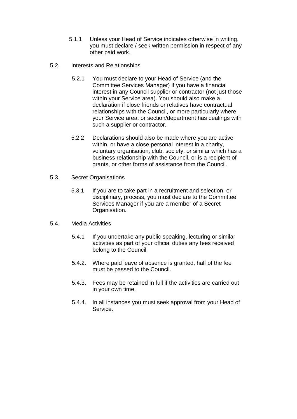- 5.1.1 Unless your Head of Service indicates otherwise in writing, you must declare / seek written permission in respect of any other paid work.
- 5.2. Interests and Relationships
	- 5.2.1 You must declare to your Head of Service (and the Committee Services Manager) if you have a financial interest in any Council supplier or contractor (not just those within your Service area). You should also make a declaration if close friends or relatives have contractual relationships with the Council, or more particularly where your Service area, or section/department has dealings with such a supplier or contractor.
	- 5.2.2 Declarations should also be made where you are active within, or have a close personal interest in a charity. voluntary organisation, club, society, or similar which has a business relationship with the Council, or is a recipient of grants, or other forms of assistance from the Council.
- 5.3. Secret Organisations
	- 5.3.1 If you are to take part in a recruitment and selection, or disciplinary, process, you must declare to the Committee Services Manager if you are a member of a Secret Organisation.
- 5.4. Media Activities
	- 5.4.1 If you undertake any public speaking, lecturing or similar activities as part of your official duties any fees received belong to the Council.
	- 5.4.2. Where paid leave of absence is granted, half of the fee must be passed to the Council.
	- 5.4.3. Fees may be retained in full if the activities are carried out in your own time.
	- 5.4.4. In all instances you must seek approval from your Head of Service.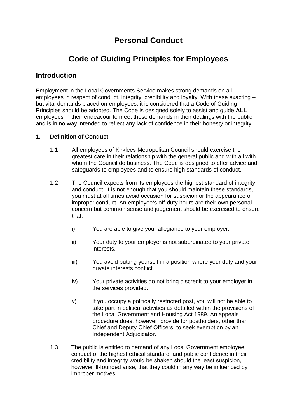# **Personal Conduct**

# **Code of Guiding Principles for Employees**

#### **Introduction**

Employment in the Local Governments Service makes strong demands on all employees in respect of conduct, integrity, credibility and loyalty. With these exacting – but vital demands placed on employees, it is considered that a Code of Guiding Principles should be adopted. The Code is designed solely to assist and guide **ALL** employees in their endeavour to meet these demands in their dealings with the public and is in no way intended to reflect any lack of confidence in their honesty or integrity.

#### **1. Definition of Conduct**

- 1.1 All employees of Kirklees Metropolitan Council should exercise the greatest care in their relationship with the general public and with all with whom the Council do business. The Code is designed to offer advice and safeguards to employees and to ensure high standards of conduct.
- 1.2 The Council expects from its employees the highest standard of integrity and conduct. It is not enough that you should maintain these standards, you must at all times avoid occasion for suspicion or the appearance of improper conduct. An employee's off-duty hours are their own personal concern but common sense and judgement should be exercised to ensure that:
	- i) You are able to give your allegiance to your employer.
	- ii) Your duty to your employer is not subordinated to your private interests.
	- iii) You avoid putting yourself in a position where your duty and your private interests conflict.
	- iv) Your private activities do not bring discredit to your employer in the services provided.
	- v) If you occupy a politically restricted post, you will not be able to take part in political activities as detailed within the provisions of the Local Government and Housing Act 1989. An appeals procedure does, however, provide for postholders, other than Chief and Deputy Chief Officers, to seek exemption by an Independent Adjudicator.
- 1.3 The public is entitled to demand of any Local Government employee conduct of the highest ethical standard, and public confidence in their credibility and integrity would be shaken should the least suspicion, however ill-founded arise, that they could in any way be influenced by improper motives.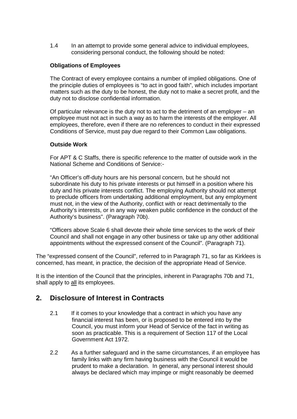1.4 In an attempt to provide some general advice to individual employees, considering personal conduct, the following should be noted:

#### **Obligations of Employees**

The Contract of every employee contains a number of implied obligations. One of the principle duties of employees is "to act in good faith", which includes important matters such as the duty to be honest, the duty not to make a secret profit, and the duty not to disclose confidential information.

Of particular relevance is the duty not to act to the detriment of an employer – an employee must not act in such a way as to harm the interests of the employer. All employees, therefore, even if there are no references to conduct in their expressed Conditions of Service, must pay due regard to their Common Law obligations.

#### **Outside Work**

For APT & C Staffs, there is specific reference to the matter of outside work in the National Scheme and Conditions of Service:-

"An Officer's off-duty hours are his personal concern, but he should not subordinate his duty to his private interests or put himself in a position where his duty and his private interests conflict. The employing Authority should not attempt to preclude officers from undertaking additional employment, but any employment must not, in the view of the Authority, conflict with or react detrimentally to the Authority's interests, or in any way weaken public confidence in the conduct of the Authority's business". (Paragraph 70b).

"Officers above Scale 6 shall devote their whole time services to the work of their Council and shall not engage in any other business or take up any other additional appointments without the expressed consent of the Council". (Paragraph 71).

The "expressed consent of the Council", referred to in Paragraph 71, so far as Kirklees is concerned, has meant, in practice, the decision of the appropriate Head of Service.

It is the intention of the Council that the principles, inherent in Paragraphs 70b and 71, shall apply to all its employees.

#### **2. Disclosure of Interest in Contracts**

- 2.1 If it comes to your knowledge that a contract in which you have any financial interest has been, or is proposed to be entered into by the Council, you must inform your Head of Service of the fact in writing as soon as practicable. This is a requirement of Section 117 of the Local Government Act 1972.
- 2.2 As a further safeguard and in the same circumstances, if an employee has family links with any firm having business with the Council it would be prudent to make a declaration. In general, any personal interest should always be declared which may impinge or might reasonably be deemed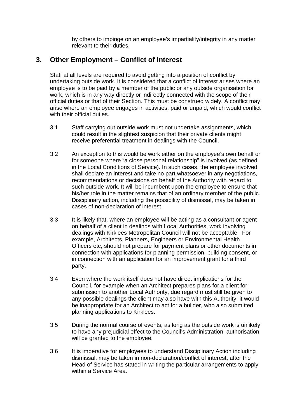by others to impinge on an employee's impartiality/integrity in any matter relevant to their duties.

#### **3. Other Employment – Conflict of Interest**

Staff at all levels are required to avoid getting into a position of conflict by undertaking outside work. It is considered that a conflict of interest arises where an employee is to be paid by a member of the public or any outside organisation for work, which is in any way directly or indirectly connected with the scope of their official duties or that of their Section. This must be construed widely. A conflict may arise where an employee engages in activities, paid or unpaid, which would conflict with their official duties.

- 3.1 Staff carrying out outside work must not undertake assignments, which could result in the slightest suspicion that their private clients might receive preferential treatment in dealings with the Council.
- 3.2 An exception to this would be work either on the employee's own behalf or for someone where "a close personal relationship" is involved (as defined in the Local Conditions of Service). In such cases, the employee involved shall declare an interest and take no part whatsoever in any negotiations, recommendations or decisions on behalf of the Authority with regard to such outside work. It will be incumbent upon the employee to ensure that his/her role in the matter remains that of an ordinary member of the public. Disciplinary action, including the possibility of dismissal, may be taken in cases of non-declaration of interest.
- 3.3 It is likely that, where an employee will be acting as a consultant or agent on behalf of a client in dealings with Local Authorities, work involving dealings with Kirklees Metropolitan Council will not be acceptable. For example, Architects, Planners, Engineers or Environmental Health Officers etc, should not prepare for payment plans or other documents in connection with applications for planning permission, building consent, or in connection with an application for an improvement grant for a third party.
- 3.4 Even where the work itself does not have direct implications for the Council, for example when an Architect prepares plans for a client for submission to another Local Authority, due regard must still be given to any possible dealings the client may also have with this Authority; it would be inappropriate for an Architect to act for a builder, who also submitted planning applications to Kirklees.
- 3.5 During the normal course of events, as long as the outside work is unlikely to have any prejudicial effect to the Council's Administration, authorisation will be granted to the employee.
- 3.6 It is imperative for employees to understand Disciplinary Action including dismissal, may be taken in non-declaration/conflict of interest, after the Head of Service has stated in writing the particular arrangements to apply within a Service Area.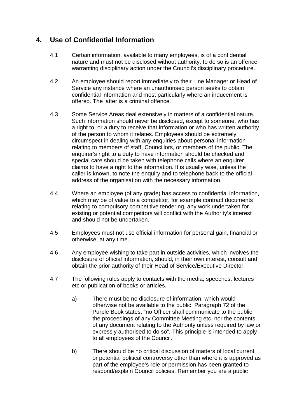## **4. Use of Confidential Information**

- 4.1 Certain information, available to many employees, is of a confidential nature and must not be disclosed without authority, to do so is an offence warranting disciplinary action under the Council's disciplinary procedure.
- 4.2 An employee should report immediately to their Line Manager or Head of Service any instance where an unauthorised person seeks to obtain confidential information and most particularly where an inducement is offered. The latter is a criminal offence.
- 4.3 Some Service Areas deal extensively in matters of a confidential nature. Such information should never be disclosed, except to someone, who has a right to, or a duty to receive that information or who has written authority of the person to whom it relates. Employees should be extremely circumspect in dealing with any enquiries about personal information relating to members of staff, Councillors, or members of the public. The enquirer's right to a duty to have information should be checked and special care should be taken with telephone calls where an enquirer claims to have a right to the information. It is usually wise, unless the caller is known, to note the enquiry and to telephone back to the official address of the organisation with the necessary information.
- 4.4 Where an employee (of any grade) has access to confidential information, which may be of value to a competitor, for example contract documents relating to compulsory competitive tendering, any work undertaken for existing or potential competitors will conflict with the Authority's interest and should not be undertaken.
- 4.5 Employees must not use official information for personal gain, financial or otherwise, at any time.
- 4.6 Any employee wishing to take part in outside activities, which involves the disclosure of official information, should, in their own interest, consult and obtain the prior authority of their Head of Service/Executive Director.
- 4.7 The following rules apply to contacts with the media, speeches, lectures etc or publication of books or articles.
	- a) There must be no disclosure of information, which would otherwise not be available to the public. Paragraph 72 of the Purple Book states, "no Officer shall communicate to the public the proceedings of any Committee Meeting etc, nor the contents of any document relating to the Authority unless required by law or expressly authorised to do so". This principle is intended to apply to all employees of the Council.
	- b) There should be no critical discussion of matters of local current or potential political controversy other than where it is approved as part of the employee's role or permission has been granted to respond/explain Council policies. Remember you are a public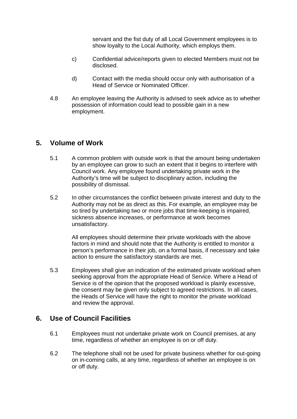servant and the fist duty of all Local Government employees is to show loyalty to the Local Authority, which employs them.

- c) Confidential advice/reports given to elected Members must not be disclosed.
- d) Contact with the media should occur only with authorisation of a Head of Service or Nominated Officer.
- 4.8 An employee leaving the Authority is advised to seek advice as to whether possession of information could lead to possible gain in a new employment.

#### **5. Volume of Work**

- 5.1 A common problem with outside work is that the amount being undertaken by an employee can grow to such an extent that it begins to interfere with Council work. Any employee found undertaking private work in the Authority's time will be subject to disciplinary action, including the possibility of dismissal.
- 5.2 In other circumstances the conflict between private interest and duty to the Authority may not be as direct as this. For example, an employee may be so tired by undertaking two or more jobs that time-keeping is impaired, sickness absence increases, or performance at work becomes unsatisfactory.

All employees should determine their private workloads with the above factors in mind and should note that the Authority is entitled to monitor a person's performance in their job, on a formal basis, if necessary and take action to ensure the satisfactory standards are met.

5.3 Employees shall give an indication of the estimated private workload when seeking approval from the appropriate Head of Service. Where a Head of Service is of the opinion that the proposed workload is plainly excessive, the consent may be given only subject to agreed restrictions. In all cases, the Heads of Service will have the right to monitor the private workload and review the approval.

#### **6. Use of Council Facilities**

- 6.1 Employees must not undertake private work on Council premises, at any time, regardless of whether an employee is on or off duty.
- 6.2 The telephone shall not be used for private business whether for out-going on in-coming calls, at any time, regardless of whether an employee is on or off duty.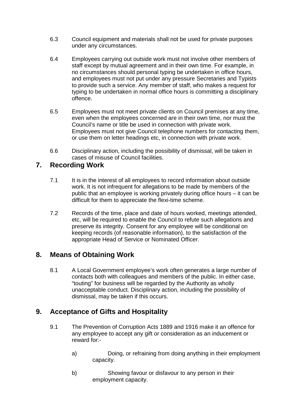- 6.3 Council equipment and materials shall not be used for private purposes under any circumstances.
- 6.4 Employees carrying out outside work must not involve other members of staff except by mutual agreement and in their own time. For example, in no circumstances should personal typing be undertaken in office hours, and employees must not put under any pressure Secretaries and Typists to provide such a service. Any member of staff, who makes a request for typing to be undertaken in normal office hours is committing a disciplinary offence.
- 6.5 Employees must not meet private clients on Council premises at any time, even when the employees concerned are in their own time, nor must the Council's name or title be used in connection with private work. Employees must not give Council telephone numbers for contacting them, or use them on letter headings etc, in connection with private work.
- 6.6 Disciplinary action, including the possibility of dismissal, will be taken in cases of misuse of Council facilities.

#### **7. Recording Work**

- 7.1 It is in the interest of all employees to record information about outside work. It is not infrequent for allegations to be made by members of the public that an employee is working privately during office hours – it can be difficult for them to appreciate the flexi-time scheme.
- 7.2 Records of the time, place and date of hours worked, meetings attended, etc, will be required to enable the Council to refute such allegations and preserve its integrity. Consent for any employee will be conditional on keeping records (of reasonable information), to the satisfaction of the appropriate Head of Service or Nominated Officer.

#### **8. Means of Obtaining Work**

8.1 A Local Government employee's work often generates a large number of contacts both with colleagues and members of the public. In either case, "touting" for business will be regarded by the Authority as wholly unacceptable conduct. Disciplinary action, including the possibility of dismissal, may be taken if this occurs.

#### **9. Acceptance of Gifts and Hospitality**

- 9.1 The Prevention of Corruption Acts 1889 and 1916 make it an offence for any employee to accept any gift or consideration as an inducement or reward for:
	- a) Doing, or refraining from doing anything in their employment capacity.
	- b) Showing favour or disfavour to any person in their employment capacity.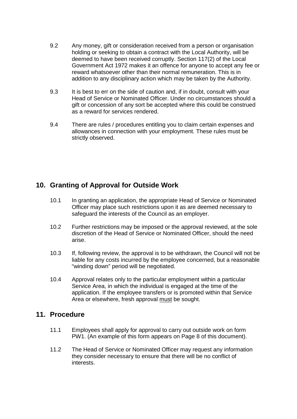- 9.2 Any money, gift or consideration received from a person or organisation holding or seeking to obtain a contract with the Local Authority, will be deemed to have been received corruptly. Section 117(2) of the Local Government Act 1972 makes it an offence for anyone to accept any fee or reward whatsoever other than their normal remuneration. This is in addition to any disciplinary action which may be taken by the Authority.
- 9.3 It is best to err on the side of caution and, if in doubt, consult with your Head of Service or Nominated Officer. Under no circumstances should a gift or concession of any sort be accepted where this could be construed as a reward for services rendered.
- 9.4 There are rules / procedures entitling you to claim certain expenses and allowances in connection with your employment. These rules must be strictly observed.

#### **10. Granting of Approval for Outside Work**

- 10.1 In granting an application, the appropriate Head of Service or Nominated Officer may place such restrictions upon it as are deemed necessary to safeguard the interests of the Council as an employer.
- 10.2 Further restrictions may be imposed or the approval reviewed, at the sole discretion of the Head of Service or Nominated Officer, should the need arise.
- 10.3 If, following review, the approval is to be withdrawn, the Council will not be liable for any costs incurred by the employee concerned, but a reasonable "winding down" period will be negotiated.
- 10.4 Approval relates only to the particular employment within a particular Service Area, in which the individual is engaged at the time of the application. If the employee transfers or is promoted within that Service Area or elsewhere, fresh approval must be sought.

#### **11. Procedure**

- 11.1 Employees shall apply for approval to carry out outside work on form PW1. (An example of this form appears on Page 8 of this document).
- 11.2 The Head of Service or Nominated Officer may request any information they consider necessary to ensure that there will be no conflict of interests.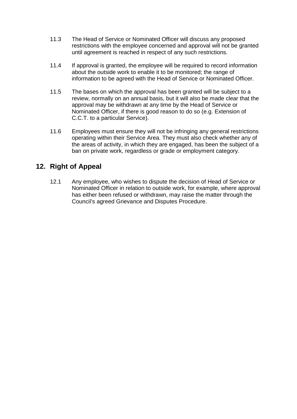- 11.3 The Head of Service or Nominated Officer will discuss any proposed restrictions with the employee concerned and approval will not be granted until agreement is reached in respect of any such restrictions.
- 11.4 If approval is granted, the employee will be required to record information about the outside work to enable it to be monitored; the range of information to be agreed with the Head of Service or Nominated Officer.
- 11.5 The bases on which the approval has been granted will be subject to a review, normally on an annual basis, but it will also be made clear that the approval may be withdrawn at any time by the Head of Service or Nominated Officer, if there is good reason to do so (e.g. Extension of C.C.T. to a particular Service).
- 11.6 Employees must ensure they will not be infringing any general restrictions operating within their Service Area. They must also check whether any of the areas of activity, in which they are engaged, has been the subject of a ban on private work, regardless or grade or employment category.

### **12. Right of Appeal**

12.1 Any employee, who wishes to dispute the decision of Head of Service or Nominated Officer in relation to outside work, for example, where approval has either been refused or withdrawn, may raise the matter through the Council's agreed Grievance and Disputes Procedure.